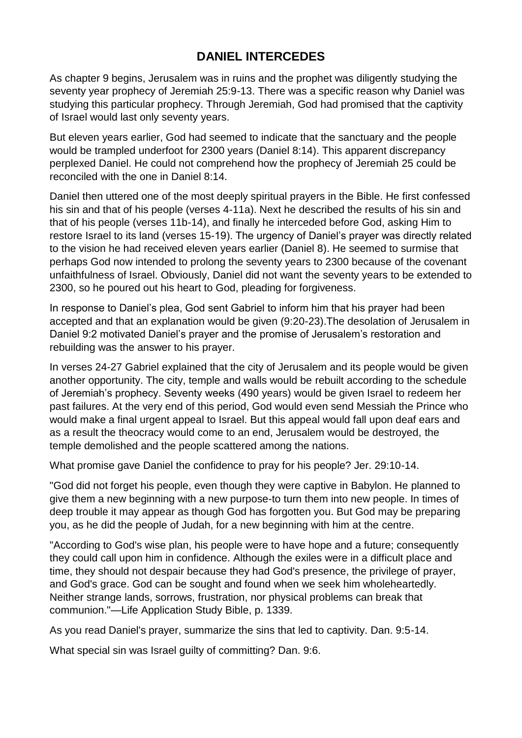## **DANIEL INTERCEDES**

As chapter 9 begins, Jerusalem was in ruins and the prophet was diligently studying the seventy year prophecy of Jeremiah 25:9-13. There was a specific reason why Daniel was studying this particular prophecy. Through Jeremiah, God had promised that the captivity of Israel would last only seventy years.

But eleven years earlier, God had seemed to indicate that the sanctuary and the people would be trampled underfoot for 2300 years (Daniel 8:14). This apparent discrepancy perplexed Daniel. He could not comprehend how the prophecy of Jeremiah 25 could be reconciled with the one in Daniel 8:14.

Daniel then uttered one of the most deeply spiritual prayers in the Bible. He first confessed his sin and that of his people (verses 4-11a). Next he described the results of his sin and that of his people (verses 11b-14), and finally he interceded before God, asking Him to restore Israel to its land (verses 15-19). The urgency of Daniel's prayer was directly related to the vision he had received eleven years earlier (Daniel 8). He seemed to surmise that perhaps God now intended to prolong the seventy years to 2300 because of the covenant unfaithfulness of Israel. Obviously, Daniel did not want the seventy years to be extended to 2300, so he poured out his heart to God, pleading for forgiveness.

In response to Daniel's plea, God sent Gabriel to inform him that his prayer had been accepted and that an explanation would be given (9:20-23).The desolation of Jerusalem in Daniel 9:2 motivated Daniel's prayer and the promise of Jerusalem's restoration and rebuilding was the answer to his prayer.

In verses 24-27 Gabriel explained that the city of Jerusalem and its people would be given another opportunity. The city, temple and walls would be rebuilt according to the schedule of Jeremiah's prophecy. Seventy weeks (490 years) would be given Israel to redeem her past failures. At the very end of this period, God would even send Messiah the Prince who would make a final urgent appeal to Israel. But this appeal would fall upon deaf ears and as a result the theocracy would come to an end, Jerusalem would be destroyed, the temple demolished and the people scattered among the nations.

What promise gave Daniel the confidence to pray for his people? Jer. 29:10-14.

"God did not forget his people, even though they were captive in Babylon. He planned to give them a new beginning with a new purpose-to turn them into new people. In times of deep trouble it may appear as though God has forgotten you. But God may be preparing you, as he did the people of Judah, for a new beginning with him at the centre.

"According to God's wise plan, his people were to have hope and a future; consequently they could call upon him in confidence. Although the exiles were in a difficult place and time, they should not despair because they had God's presence, the privilege of prayer, and God's grace. God can be sought and found when we seek him wholeheartedly. Neither strange lands, sorrows, frustration, nor physical problems can break that communion."—Life Application Study Bible, p. 1339.

As you read Daniel's prayer, summarize the sins that led to captivity. Dan. 9:5-14.

What special sin was Israel guilty of committing? Dan. 9:6.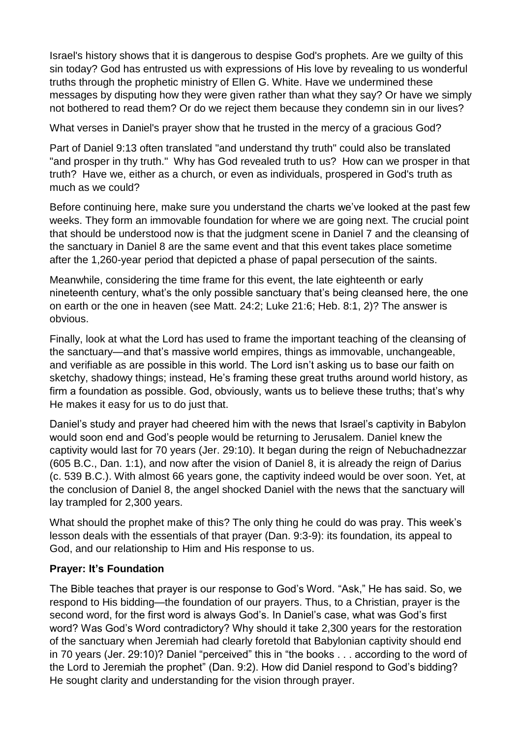Israel's history shows that it is dangerous to despise God's prophets. Are we guilty of this sin today? God has entrusted us with expressions of His love by revealing to us wonderful truths through the prophetic ministry of Ellen G. White. Have we undermined these messages by disputing how they were given rather than what they say? Or have we simply not bothered to read them? Or do we reject them because they condemn sin in our lives?

What verses in Daniel's prayer show that he trusted in the mercy of a gracious God?

Part of Daniel 9:13 often translated "and understand thy truth" could also be translated "and prosper in thy truth." Why has God revealed truth to us? How can we prosper in that truth? Have we, either as a church, or even as individuals, prospered in God's truth as much as we could?

Before continuing here, make sure you understand the charts we've looked at the past few weeks. They form an immovable foundation for where we are going next. The crucial point that should be understood now is that the judgment scene in Daniel 7 and the cleansing of the sanctuary in Daniel 8 are the same event and that this event takes place sometime after the 1,260-year period that depicted a phase of papal persecution of the saints.

Meanwhile, considering the time frame for this event, the late eighteenth or early nineteenth century, what's the only possible sanctuary that's being cleansed here, the one on earth or the one in heaven (see Matt. 24:2; Luke 21:6; Heb. 8:1, 2)? The answer is obvious.

Finally, look at what the Lord has used to frame the important teaching of the cleansing of the sanctuary—and that's massive world empires, things as immovable, unchangeable, and verifiable as are possible in this world. The Lord isn't asking us to base our faith on sketchy, shadowy things; instead, He's framing these great truths around world history, as firm a foundation as possible. God, obviously, wants us to believe these truths; that's why He makes it easy for us to do just that.

Daniel's study and prayer had cheered him with the news that Israel's captivity in Babylon would soon end and God's people would be returning to Jerusalem. Daniel knew the captivity would last for 70 years (Jer. 29:10). It began during the reign of Nebuchadnezzar (605 B.C., Dan. 1:1), and now after the vision of Daniel 8, it is already the reign of Darius (c. 539 B.C.). With almost 66 years gone, the captivity indeed would be over soon. Yet, at the conclusion of Daniel 8, the angel shocked Daniel with the news that the sanctuary will lay trampled for 2,300 years.

What should the prophet make of this? The only thing he could do was pray. This week's lesson deals with the essentials of that prayer (Dan. 9:3-9): its foundation, its appeal to God, and our relationship to Him and His response to us.

## **Prayer: It's Foundation**

The Bible teaches that prayer is our response to God's Word. "Ask," He has said. So, we respond to His bidding—the foundation of our prayers. Thus, to a Christian, prayer is the second word, for the first word is always God's. In Daniel's case, what was God's first word? Was God's Word contradictory? Why should it take 2,300 years for the restoration of the sanctuary when Jeremiah had clearly foretold that Babylonian captivity should end in 70 years (Jer. 29:10)? Daniel "perceived" this in "the books . . . according to the word of the Lord to Jeremiah the prophet" (Dan. 9:2). How did Daniel respond to God's bidding? He sought clarity and understanding for the vision through prayer.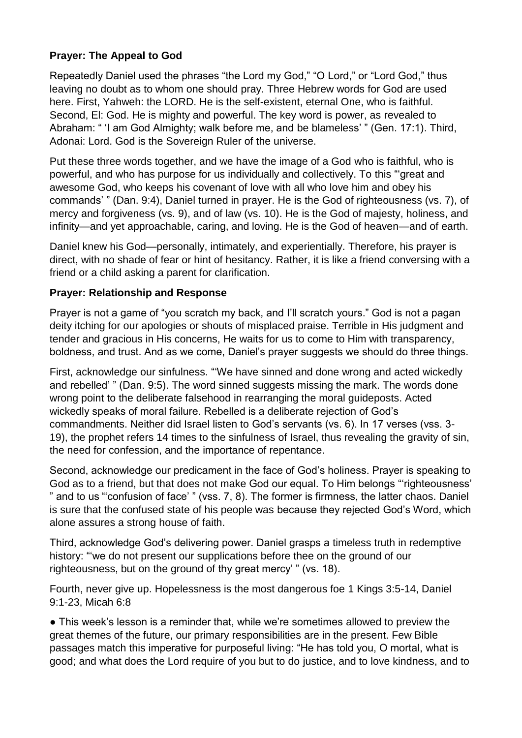## **Prayer: The Appeal to God**

Repeatedly Daniel used the phrases "the Lord my God," "O Lord," or "Lord God," thus leaving no doubt as to whom one should pray. Three Hebrew words for God are used here. First, Yahweh: the LORD. He is the self-existent, eternal One, who is faithful. Second, El: God. He is mighty and powerful. The key word is power, as revealed to Abraham: " 'I am God Almighty; walk before me, and be blameless' " (Gen. 17:1). Third, Adonai: Lord. God is the Sovereign Ruler of the universe.

Put these three words together, and we have the image of a God who is faithful, who is powerful, and who has purpose for us individually and collectively. To this "'great and awesome God, who keeps his covenant of love with all who love him and obey his commands' " (Dan. 9:4), Daniel turned in prayer. He is the God of righteousness (vs. 7), of mercy and forgiveness (vs. 9), and of law (vs. 10). He is the God of majesty, holiness, and infinity—and yet approachable, caring, and loving. He is the God of heaven—and of earth.

Daniel knew his God—personally, intimately, and experientially. Therefore, his prayer is direct, with no shade of fear or hint of hesitancy. Rather, it is like a friend conversing with a friend or a child asking a parent for clarification.

## **Prayer: Relationship and Response**

Prayer is not a game of "you scratch my back, and I'll scratch yours." God is not a pagan deity itching for our apologies or shouts of misplaced praise. Terrible in His judgment and tender and gracious in His concerns, He waits for us to come to Him with transparency, boldness, and trust. And as we come, Daniel's prayer suggests we should do three things.

First, acknowledge our sinfulness. "'We have sinned and done wrong and acted wickedly and rebelled' " (Dan. 9:5). The word sinned suggests missing the mark. The words done wrong point to the deliberate falsehood in rearranging the moral guideposts. Acted wickedly speaks of moral failure. Rebelled is a deliberate rejection of God's commandments. Neither did Israel listen to God's servants (vs. 6). In 17 verses (vss. 3- 19), the prophet refers 14 times to the sinfulness of Israel, thus revealing the gravity of sin, the need for confession, and the importance of repentance.

Second, acknowledge our predicament in the face of God's holiness. Prayer is speaking to God as to a friend, but that does not make God our equal. To Him belongs "'righteousness' " and to us "'confusion of face' " (vss. 7, 8). The former is firmness, the latter chaos. Daniel is sure that the confused state of his people was because they rejected God's Word, which alone assures a strong house of faith.

Third, acknowledge God's delivering power. Daniel grasps a timeless truth in redemptive history: "'we do not present our supplications before thee on the ground of our righteousness, but on the ground of thy great mercy' " (vs. 18).

Fourth, never give up. Hopelessness is the most dangerous foe 1 Kings 3:5-14, Daniel 9:1-23, Micah 6:8

● This week's lesson is a reminder that, while we're sometimes allowed to preview the great themes of the future, our primary responsibilities are in the present. Few Bible passages match this imperative for purposeful living: "He has told you, O mortal, what is good; and what does the Lord require of you but to do justice, and to love kindness, and to